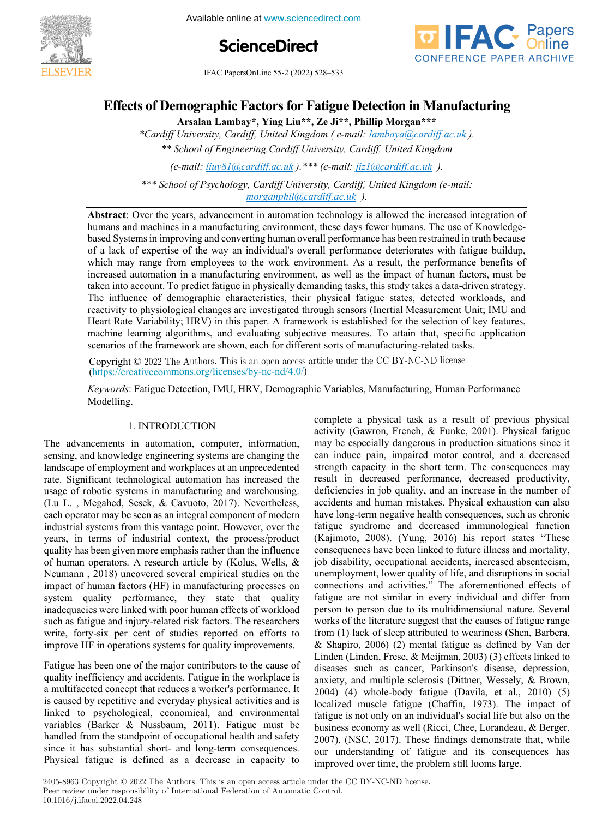

Available online at www.sciencedirect.com





**IFAC PapersOnLine 55-2 (2022) 528–533** 

#### **Effects of Demographic Factors for Fatigue Detection in Manufacturing Effects of Demographic Factorsfor Fatigue Detection in Manufacturing Effects of Demographic Factors for Fatigue Detection in Manufacturing**

**Arsalan Lambay\*, Ying Liu\*\*, Ze Ji\*\*, Phillip Morgan\*\*\*** Arsalan Lambay\*, Ying Liu\*\*, Ze Ji\*\*, Phillip Morgan\*\*\* **Arsalan Lambay\*, Ying Liu\*\*, Ze Ji\*\*, Phillip Morgan\*\*\*Arsalan Lambay\*, Ying Liu\*\*, Ze Ji\*\*, Phillip Morgan\*\*\***

\*Cardiff University, Cardiff, United Kingdom (e-mail: lambaya@cardiff.ac.uk). *\*\* School of Engineering,Cardiff University, Cardiff, United Kingdom \*Cardiff University, Cardiff, United Kingdom ( e-mail: lambaya@cardiff.ac.uk ).* \*\* School of Engineering, Cardiff University, Cardiff, United Kingdom All School of Engineering, Caraly University, Caraly, United Kingdom<br>(e-mail: <u>liuy81@cardiff.ac.uk</u>).\*\*\* (e-mail: <u>jiz1@cardiff.ac.uk</u>).

*(e-mail: liuy81@cardiff.ac.uk ).\*\*\* (e-mail: jiz1@cardiff.ac.uk ). \*\* School of Engineering,Cardiff University, Cardiff, United Kingdom*

*\*\*\* School of Psychology, Cardiff University, Cardiff, United Kingdom (e-mail: (e-mail: liuy81@cardiff.ac.uk ).\*\*\* (e-mail: jiz1@cardiff.ac.uk ). morganphil@cardiff.ac.uk ).* \*\*\* School of Psychology, Cardiff University, Cardiff, United Kingdom (e-mail:<br>morganphil@cardiff.ac.uk ). *morganphil@cardiff.ac.uk ). morganphil@cardiff.ac.uk ). \*\*\* School of Psychology, Cardiff University, Cardiff, United Kingdom (e-mail: (e-mail: liuy81@cardiff.ac.uk ).\*\*\* (e-mail: jiz1@cardiff.ac.uk ). (e-mail: k-mail: e-mail: e-mail:*<br>integraphilm integraphilm University, Caraly, Onlinea Kingdom (e-mail:<br>integraphilm integraphic United Kingdom *(e-mail:* 

humans and machines in a manufacturing environment, these days fewer humans. The use of Knowledgebased Systems in improving and converting human overall performance has been restrained in truth because of a lack of expertise of the way an individual's overall performance has been restrained in truth occause<br>of a lack of expertise of the way an individual's overall performance deteriorates with fatigue buildup, which may range from employees to the work environment. As a result, the performance benefits of which may range from employees to the work environment. As a result, the performance benefits of increased automation in a manufacturing environment, as well as the impact of human factors, must be taken into account. To p taken into account. To predict fatigue in physically demanding tasks, this study takes a data-driven strategy. taken into account. To predict fatigue in physically demanding tasks, this study takes a data-driven strategy.<br>The influence of demographic characteristics, their physical fatigue states, detected workloads, and ric influence or demographic characteristics, their physical rangue states, detected workloads, and<br>reactivity to physiological changes are investigated through sensors (Inertial Measurement Unit; IMU and<br>Heart Rate Variab Heart Rate Variability; HRV) in this paper. A framework is established for the selection of key features, machine learning algorithms, and evaluating subjective measures. To attain that, specific application<br>scenarios of the framework are shown, each for different sorts of manufacturing-related tasks. scenarios of the framework are shown, each for different sorts of manufacturing-related tasks. *\*\*\* School of Psychology, Cardiff University, Cardiff, United Kingdom (e-mail:* **Abstract**: Over the years, advancement in automation technology is allowed the increased integration of  $\frac{1}{2}$ . *morganphil@cardiff.ac.uk).*

Copyright © 2022 The Authors. This is an open access article under the CC BY-NC-ND license Copyright  $\bigcirc$  2022 The Authors. This is an open access article under the CC DT-NC-ND heeme.<br>(https://creativecommons.org/licenses/by-nc-nd/4.0/) Copyright  $\odot$  2022 The Authors. This is an open access article under the CC BY-NC-ND license (mps.//cre (https://creativecommons.org/licenses/by-nc-nd/4.0/)

*.*<br>*Keywords*: Fatigue Detection, IMU, HRV, Demographic Variables, Manufacturing, Human Performance Modelling. complete a physical task as a result of previous physical task as a result of previous physical task as a result

#### 1. INTRODUCTION 1. INTRODUCTION 1. INTRODUCTION 1. INTRODUCTION The advancements in automation, computer, information,

The advancements in automation, computer, information, sensing, and knowledge engineering systems are changing the sensing, and knowledge engineering systems are changing the<br>landscape of employment and workplaces at an unprecedented rate. Significant technological automation has increased the rate. Significant technological automation has increased the usage of robotic systems in manufacturing and warehousing. (Lu L., Megahed, Sesek, & Cavuoto, 2017). Nevertheless, (Lu L., Megahed, Sesek, & Cavuoto, 2017). Nevertheless,<br>each operator may be seen as an integral component of modern<br>industrial systems from this vantage point. However, over the industrial systems from this vantage point. However, over the industrial systems from this vantage point. However, over the<br>years, in terms of industrial context, the process/product quality has been given more emphasis rather than the influence quality has been given more emphasis rather than the influence<br>of human operators. A research article by (Kolus, Wells, & Neumann, 2018) uncovered several empirical studies on the Neumann, 2018) uncovered several empirical studies on the<br>impact of human factors (HF) in manufacturing processes on system quality performance, they state that quality system quality performance, they state that quality<br>inadequacies were linked with poor human effects of workload such as fatigue and injury-related risk factors. The researchers such as fatigue and injury-related risk factors. The researchers<br>write, forty-six per cent of studies reported on efforts to improve HF in operations systems for quality improvements. write, for the studies reported on the studies reported on the studies report of studies  $\frac{1}{2}$ improve HF in operations systems for quality improvements. landscape of employment and workplaces at an unprecedented<br>rate. Significant technological automation has increased the<br>usage of robotic systems in manufacturing and warehousing.<br>(Lu I Megahed Sesek & Cayuoto 2017) Nevert years, in terms of industrial context, the process/product<br>quality has been given more emphasis rather than the influence<br>of human operators. A research article by (Kolus, Wells, &<br>Neumann, 2018) uncovered several empirica improve HF in operations in operations in operations in  $\frac{1}{2}$  in  $\frac{1}{2}$  in  $\frac{1}{2}$ senside the compression and weapparts are an angle executive

Fatigue has been one of the major contributors to the cause of quality inefficiency and accidents. Fatigue in the workplace is quality inefficiency and accidents. Fatigue in the workplace is<br>a multifaceted concept that reduces a worker's performance. It is caused by repetitive and everyday physical activities and is is caused by repetitive and everyday physical activities and is<br>linked to psychological, economical, and environmental variables (Barker & Nussbaum, 2011). Fatigue must be variables (Barker & Nussbaum, 2011). Fatigue must be<br>handled from the standpoint of occupational health and safety since it has substantial short- and long-term consequences. Physical fatigue is defined as a decrease in capacity to since it is substantial short- and long-term consequences. since it has substantial short- and long-term consequences.<br>Physical fatigue is defined as a decrease in capacity to

Fatigue has been one of the major contributors to the cause of

complete a physical task as a result of previous physical complete a physical task as a result of previous physical<br>activity (Gawron, French, & Funke, 2001). Physical fatigue may be especially dangerous in production situations since it may be especially dangerous in production situations since it<br>can induce pain, impaired motor control, and a decreased strength capacity in the short term. The consequences may strength capacity in the short term. The consequences may result in decreased performance, decreased productivity, deficiencies in job quality, and an increase in the number of deficiencies in job quality, and an increase in the number of accidents and human mistakes. Physical exhaustion can also have long-term negative health consequences, such as chronic have long-term negative health consequences, such as chronic<br>fatigue syndrome and decreased immunological function (Kajimoto, 2008). (Yung, 2016) his report states "These (Kajimoto, 2008). (Yung, 2016) his report states "These consequences have been linked to future illness and mortality, job disability, occupational accidents, increased absenteeism, job disability, occupational accidents, increased absenteeism,<br>unemployment, lower quality of life, and disruptions in social connections and activities." The aforementioned effects of connections and activities." The aforementioned effects of fatigue are not similar in every individual and differ from person to person due to its multidimensional nature. Several person to person due to its multidimensional nature. Several<br>works of the literature suggest that the causes of fatigue range from (1) lack of sleep attributed to weariness (Shen, Barbera, from (1) lack of sleep attributed to weariness (Shen, Barbera, & Shapiro, 2006) (2) mental fatigue as defined by Van der Linden (Linden, Frese, & Meijman, 2003) (3) effects linked to Linden (Linden, Frese, & Meijman, 2003) (3) effects linked to<br>diseases such as cancer, Parkinson's disease, depression, anxiety, and multiple sclerosis (Dittner, Wessely, & Brown, anxiety, and multiple sclerosis (Dittner, Wessely, & Brown, 2004) (4) whole-body fatigue (Davila, et al., 2010) (5) localized muscle fatigue (Chaffin, 1973). The impact of localized muscle fatigue (Chaffin, 1973). The impact of fatigue is not only on an individual's social life but also on the business economy as well (Ricci, Chee, Lorandeau, & Berger, business economy as well (Ricci, Chee, Lorandeau, & Berger, 2007), (NSC, 2017). These findings demonstrate that, while our understanding of fatigue and its consequences has improved over time, the problem still looms large.  $\sum_{i=1}^{n}$  and its consequences has fatigue and its consequences  $\sum_{i=1}^{n}$ complete a physical task as a result of previous physical The advancements in automotion, the set of the set of the set of the set of the set of the set of the set of the set of the set of the set of the set of the set of the set of the set of the set of the set of the set of th strength capacity in the short term. The consequences may<br>result in decreased performance, decreased productivity,<br>deficiencies in job quality, and an increase in the number of<br>accidents and human mistakes. Physical exhaus job disability, occupational accidents, increased absenteeism,<br>unemployment, lower quality of life, and disruptions in social<br>connections and activities." The aforementioned effects of<br>fatigue are not similar in every indi The adventuation in automation, computer, information, may is especially dangeous in production situations;<br>sustaines a decrease in comparison as a complexe in capacity in the share are a physical task as a result<br>and the

2405-8963 Copyright  $\odot$  2022 The Authors. This is an open access article under the CC BY-NC-ND license. Peer review under responsibility of International Federation of Automatic Control. 10.1016/j.ifacol.2022.04.248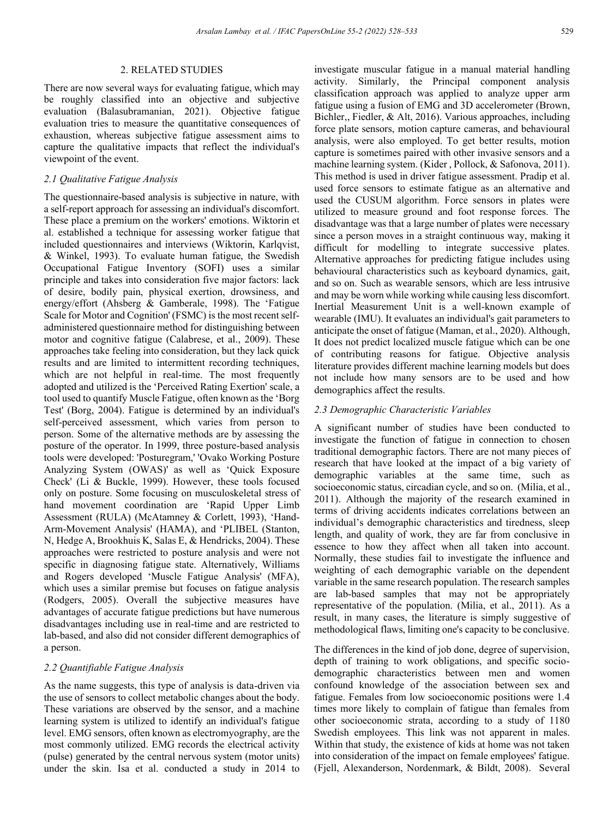There are now several ways for evaluating fatigue, which may be roughly classified into an objective and subjective evaluation (Balasubramanian, 2021). Objective fatigue evaluation tries to measure the quantitative consequences of exhaustion, whereas subjective fatigue assessment aims to capture the qualitative impacts that reflect the individual's viewpoint of the event.

# *2.1 Qualitative Fatigue Analysis*

2. RELATED STUDIES<br>
There are now several ways for evaluation galority be roughly classified into am objective evaluation (Fialasubarananaia, 2021). evaluation this to the assume the qualitative capitative capitative chan The questionnaire-based analysis is subjective in nature, with a self-report approach for assessing an individual's discomfort. These place a premium on the workers' emotions. Wiktorin et al. established a technique for assessing worker fatigue that included questionnaires and interviews (Wiktorin, Karlqvist, & Winkel, 1993). To evaluate human fatigue, the Swedish Occupational Fatigue Inventory (SOFI) uses a similar principle and takes into consideration five major factors: lack of desire, bodily pain, physical exertion, drowsiness, and energy/effort (Ahsberg & Gamberale, 1998). The 'Fatigue Scale for Motor and Cognition' (FSMC) is the most recent selfadministered questionnaire method for distinguishing between motor and cognitive fatigue (Calabrese, et al., 2009). These approaches take feeling into consideration, but they lack quick results and are limited to intermittent recording techniques, which are not helpful in real-time. The most frequently adopted and utilized is the 'Perceived Rating Exertion' scale, a tool used to quantify Muscle Fatigue, often known as the 'Borg Test' (Borg, 2004). Fatigue is determined by an individual's self-perceived assessment, which varies from person to person. Some of the alternative methods are by assessing the posture of the operator. In 1999, three posture-based analysis tools were developed: 'Posturegram,' 'Ovako Working Posture Analyzing System (OWAS)' as well as 'Quick Exposure Check' (Li & Buckle, 1999). However, these tools focused only on posture. Some focusing on musculoskeletal stress of hand movement coordination are 'Rapid Upper Limb Assessment (RULA) (McAtamney & Corlett, 1993), 'Hand-Arm-Movement Analysis' (HAMA), and 'PLIBEL (Stanton, N, Hedge A, Brookhuis K, Salas E, & Hendricks, 2004). These approaches were restricted to posture analysis and were not specific in diagnosing fatigue state. Alternatively, Williams and Rogers developed 'Muscle Fatigue Analysis' (MFA), which uses a similar premise but focuses on fatigue analysis (Rodgers, 2005). Overall the subjective measures have advantages of accurate fatigue predictions but have numerous disadvantages including use in real-time and are restricted to lab-based, and also did not consider different demographics of a person.

# *2.2 Quantifiable Fatigue Analysis*

As the name suggests, this type of analysis is data-driven via the use of sensors to collect metabolic changes about the body. These variations are observed by the sensor, and a machine learning system is utilized to identify an individual's fatigue level. EMG sensors, often known as electromyography, are the most commonly utilized. EMG records the electrical activity (pulse) generated by the central nervous system (motor units) under the skin. Isa et al. conducted a study in 2014 to investigate muscular fatigue in a manual material handling activity. Similarly, the Principal component analysis classification approach was applied to analyze upper arm fatigue using a fusion of EMG and 3D accelerometer (Brown, Bichler,, Fiedler, & Alt, 2016). Various approaches, including force plate sensors, motion capture cameras, and behavioural analysis, were also employed. To get better results, motion capture is sometimes paired with other invasive sensors and a machine learning system. (Kider , Pollock, & Safonova, 2011). This method is used in driver fatigue assessment. Pradip et al. used force sensors to estimate fatigue as an alternative and used the CUSUM algorithm. Force sensors in plates were utilized to measure ground and foot response forces. The disadvantage was that a large number of plates were necessary since a person moves in a straight continuous way, making it difficult for modelling to integrate successive plates. Alternative approaches for predicting fatigue includes using behavioural characteristics such as keyboard dynamics, gait, and so on. Such as wearable sensors, which are less intrusive and may be worn while working while causing less discomfort. Inertial Measurement Unit is a well-known example of wearable (IMU). It evaluates an individual's gait parameters to anticipate the onset of fatigue (Maman, et al., 2020). Although, It does not predict localized muscle fatigue which can be one of contributing reasons for fatigue. Objective analysis literature provides different machine learning models but does not include how many sensors are to be used and how demographics affect the results.

## *2.3 Demographic Characteristic Variables*

A significant number of studies have been conducted to investigate the function of fatigue in connection to chosen traditional demographic factors. There are not many pieces of research that have looked at the impact of a big variety of demographic variables at the same time, such as socioeconomic status, circadian cycle, and so on. (Milia, et al., 2011). Although the majority of the research examined in terms of driving accidents indicates correlations between an individual's demographic characteristics and tiredness, sleep length, and quality of work, they are far from conclusive in essence to how they affect when all taken into account. Normally, these studies fail to investigate the influence and weighting of each demographic variable on the dependent variable in the same research population. The research samples are lab-based samples that may not be appropriately representative of the population. (Milia, et al., 2011). As a result, in many cases, the literature is simply suggestive of methodological flaws, limiting one's capacity to be conclusive.

The differences in the kind of job done, degree of supervision, depth of training to work obligations, and specific sociodemographic characteristics between men and women confound knowledge of the association between sex and fatigue. Females from low socioeconomic positions were 1.4 times more likely to complain of fatigue than females from other socioeconomic strata, according to a study of 1180 Swedish employees. This link was not apparent in males. Within that study, the existence of kids at home was not taken into consideration of the impact on female employees' fatigue. (Fjell, Alexanderson, Nordenmark, & Bildt, 2008). Several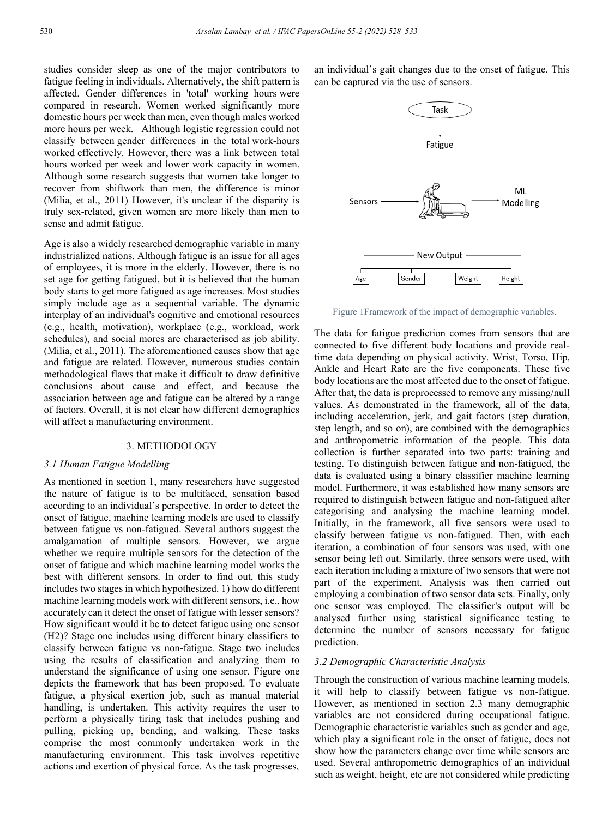studies consider sleep as one of the major contributors to fatigue feeling in individuals. Alternatively, the shift pattern is affected. Gender differences in 'total' working hours were compared in research. Women worked significantly more domestic hours per week than men, even though males worked more hours per week. Although logistic regression could not classify between gender differences in the total work-hours worked effectively. However, there was a link between total hours worked per week and lower work capacity in women. Although some research suggests that women take longer to recover from shiftwork than men, the difference is minor (Milia, et al., 2011) However, it's unclear if the disparity is truly sex-related, given women are more likely than men to sense and admit fatigue.

Age is also a widely researched demographic variable in many industrialized nations. Although fatigue is an issue for all ages of employees, it is more in the elderly. However, there is no set age for getting fatigued, but it is believed that the human body starts to get more fatigued as age increases. Most studies simply include age as a sequential variable. The dynamic interplay of an individual's cognitive and emotional resources (e.g., health, motivation), workplace (e.g., workload, work schedules), and social mores are characterised as job ability. (Milia, et al., 2011). The aforementioned causes show that age and fatigue are related. However, numerous studies contain methodological flaws that make it difficult to draw definitive conclusions about cause and effect, and because the association between age and fatigue can be altered by a range of factors. Overall, it is not clear how different demographics will affect a manufacturing environment.

#### 3. METHODOLOGY

#### *3.1 Human Fatigue Modelling*

As mentioned in section 1, many researchers have suggested the nature of fatigue is to be multifaced, sensation based according to an individual's perspective. In order to detect the onset of fatigue, machine learning models are used to classify between fatigue vs non-fatigued. Several authors suggest the amalgamation of multiple sensors. However, we argue whether we require multiple sensors for the detection of the onset of fatigue and which machine learning model works the best with different sensors. In order to find out, this study includes two stages in which hypothesized. 1) how do different machine learning models work with different sensors, i.e., how accurately can it detect the onset of fatigue with lesser sensors? How significant would it be to detect fatigue using one sensor (H2)? Stage one includes using different binary classifiers to classify between fatigue vs non-fatigue. Stage two includes using the results of classification and analyzing them to understand the significance of using one sensor. Figure one depicts the framework that has been proposed. To evaluate fatigue, a physical exertion job, such as manual material handling, is undertaken. This activity requires the user to perform a physically tiring task that includes pushing and pulling, picking up, bending, and walking. These tasks comprise the most commonly undertaken work in the manufacturing environment. This task involves repetitive actions and exertion of physical force. As the task progresses,

an individual's gait changes due to the onset of fatigue. This can be captured via the use of sensors.



Figure 1Framework of the impact of demographic variables.

The data for fatigue prediction comes from sensors that are connected to five different body locations and provide realtime data depending on physical activity. Wrist, Torso, Hip, Ankle and Heart Rate are the five components. These five body locations are the most affected due to the onset of fatigue. After that, the data is preprocessed to remove any missing/null values. As demonstrated in the framework, all of the data, including acceleration, jerk, and gait factors (step duration, step length, and so on), are combined with the demographics and anthropometric information of the people. This data collection is further separated into two parts: training and testing. To distinguish between fatigue and non-fatigued, the data is evaluated using a binary classifier machine learning model. Furthermore, it was established how many sensors are required to distinguish between fatigue and non-fatigued after categorising and analysing the machine learning model. Initially, in the framework, all five sensors were used to classify between fatigue vs non-fatigued. Then, with each iteration, a combination of four sensors was used, with one sensor being left out. Similarly, three sensors were used, with each iteration including a mixture of two sensors that were not part of the experiment. Analysis was then carried out employing a combination of two sensor data sets. Finally, only one sensor was employed. The classifier's output will be analysed further using statistical significance testing to determine the number of sensors necessary for fatigue prediction.

#### *3.2 Demographic Characteristic Analysis*

Through the construction of various machine learning models, it will help to classify between fatigue vs non-fatigue. However, as mentioned in section 2.3 many demographic variables are not considered during occupational fatigue. Demographic characteristic variables such as gender and age, which play a significant role in the onset of fatigue, does not show how the parameters change over time while sensors are used. Several anthropometric demographics of an individual such as weight, height, etc are not considered while predicting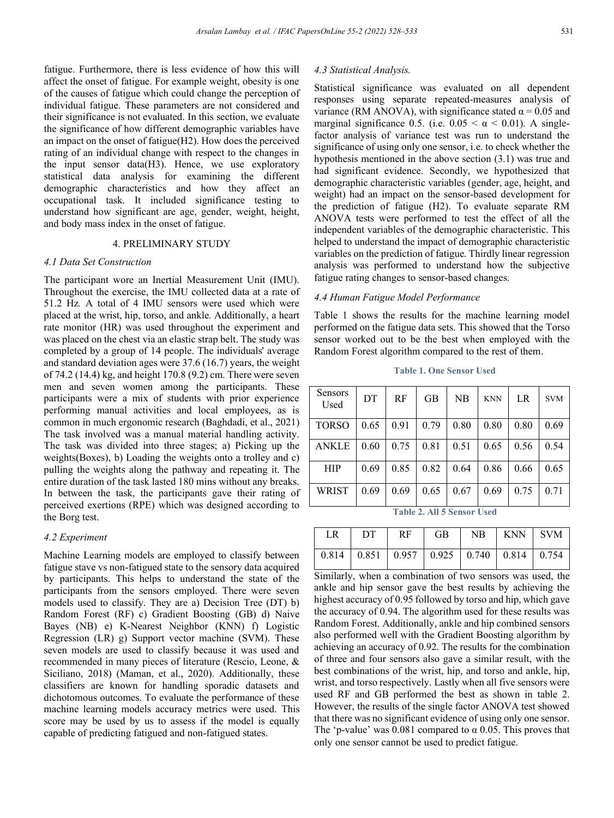fatigue. Furthermore, there is less evidence of how this will affect the onset of fatigue. For example weight, obesity is one of the causes of fatigue which could change the perception of individual fatigue. These parameters are not considered and their significance is not evaluated. In this section, we evaluate the significance of how different demographic variables have an impact on the onset of fatigue(H2). How does the perceived rating of an individual change with respect to the changes in the input sensor data(H3). Hence, we use exploratory statistical data analysis for examining the different demographic characteristics and how they affect an occupational task. It included significance testing to understand how significant are age, gender, weight, height, and body mass index in the onset of fatigue.

# 4. PRELIMINARY STUDY

## *4.1 Data Set Construction*

The participant wore an Inertial Measurement Unit (IMU). Throughout the exercise, the IMU collected data at a rate of 51.2 Hz*.* A total of 4 IMU sensors were used which were placed at the wrist, hip, torso, and ankle. Additionally, a heart rate monitor (HR) was used throughout the experiment and was placed on the chest via an elastic strap belt. The study was completed by a group of 14 people. The individuals' average and standard deviation ages were 37.6 (16.7) years, the weight of 74.2 (14.4) kg, and height 170.8 (9.2) cm. There were seven men and seven women among the participants. These participants were a mix of students with prior experience performing manual activities and local employees, as is common in much ergonomic research (Baghdadi, et al., 2021) The task involved was a manual material handling activity. The task was divided into three stages; a) Picking up the weights(Boxes), b) Loading the weights onto a trolley and c) pulling the weights along the pathway and repeating it. The entire duration of the task lasted 180 mins without any breaks. In between the task, the participants gave their rating of perceived exertions (RPE) which was designed according to the Borg test.

## *4.2 Experiment*

Machine Learning models are employed to classify between fatigue stave vs non-fatigued state to the sensory data acquired by participants. This helps to understand the state of the participants from the sensors employed. There were seven models used to classify. They are a) Decision Tree (DT) b) Random Forest (RF) c) Gradient Boosting (GB) d) Naive Bayes (NB) e) K-Nearest Neighbor (KNN) f) Logistic Regression (LR) g) Support vector machine (SVM). These seven models are used to classify because it was used and recommended in many pieces of literature (Rescio, Leone, & Siciliano, 2018) (Maman, et al., 2020). Additionally, these classifiers are known for handling sporadic datasets and dichotomous outcomes. To evaluate the performance of these machine learning models accuracy metrics were used. This score may be used by us to assess if the model is equally capable of predicting fatigued and non-fatigued states.

#### *4.3 Statistical Analysis.*

Statistical significance was evaluated on all dependent responses using separate repeated-measures analysis of variance (RM ANOVA), with significance stated  $\alpha$  = 0.05 and marginal significance 0.5. (i.e.  $0.05 < \alpha < 0.01$ ). A singlefactor analysis of variance test was run to understand the significance of using only one sensor, i.e. to check whether the hypothesis mentioned in the above section (3.1) was true and had significant evidence. Secondly, we hypothesized that demographic characteristic variables (gender, age, height, and weight) had an impact on the sensor-based development for the prediction of fatigue (H2). To evaluate separate RM ANOVA tests were performed to test the effect of all the independent variables of the demographic characteristic. This helped to understand the impact of demographic characteristic variables on the prediction of fatigue. Thirdly linear regression analysis was performed to understand how the subjective fatigue rating changes to sensor-based changes.

# *4.4 Human Fatigue Model Performance*

Table 1 shows the results for the machine learning model performed on the fatigue data sets. This showed that the Torso sensor worked out to be the best when employed with the Random Forest algorithm compared to the rest of them.

**Table 1. One Sensor Used** 

| <b>Sensors</b><br>Used                   | DT   | <b>RF</b> | <b>GB</b> | NB   | <b>KNN</b> | LR   | <b>SVM</b> |  |  |  |
|------------------------------------------|------|-----------|-----------|------|------------|------|------------|--|--|--|
| <b>TORSO</b>                             | 0.65 | 0.91      | 0.79      | 0.80 | 0.80       | 0.80 | 0.69       |  |  |  |
| <b>ANKLE</b>                             | 0.60 | 0.75      | 0.81      | 0.51 | 0.65       | 0.56 | 0.54       |  |  |  |
| <b>HIP</b>                               | 0.69 | 0.85      | 0.82      | 0.64 | 0.86       | 0.66 | 0.65       |  |  |  |
| <b>WRIST</b>                             | 0.69 | 0.69      | 0.65      | 0.67 | 0.69       | 0.75 | 0.71       |  |  |  |
| All 5 Sonsor Head<br>$_{\text{Table 2}}$ |      |           |           |      |            |      |            |  |  |  |

**Table 2. All 5 Sensor Used**

| LR – | $DT$ RF GB |  | NB KNN SVM                                              |  |
|------|------------|--|---------------------------------------------------------|--|
|      |            |  | $0.814$   0.851   0.957   0.925   0.740   0.814   0.754 |  |

Similarly, when a combination of two sensors was used, the ankle and hip sensor gave the best results by achieving the highest accuracy of 0.95 followed by torso and hip, which gave the accuracy of 0.94. The algorithm used for these results was Random Forest. Additionally, ankle and hip combined sensors also performed well with the Gradient Boosting algorithm by achieving an accuracy of 0.92. The results for the combination of three and four sensors also gave a similar result, with the best combinations of the wrist, hip, and torso and ankle, hip, wrist, and torso respectively. Lastly when all five sensors were used RF and GB performed the best as shown in table 2. However, the results of the single factor ANOVA test showed that there was no significant evidence of using only one sensor. The 'p-value' was  $0.081$  compared to  $\alpha$  0.05. This proves that only one sensor cannot be used to predict fatigue.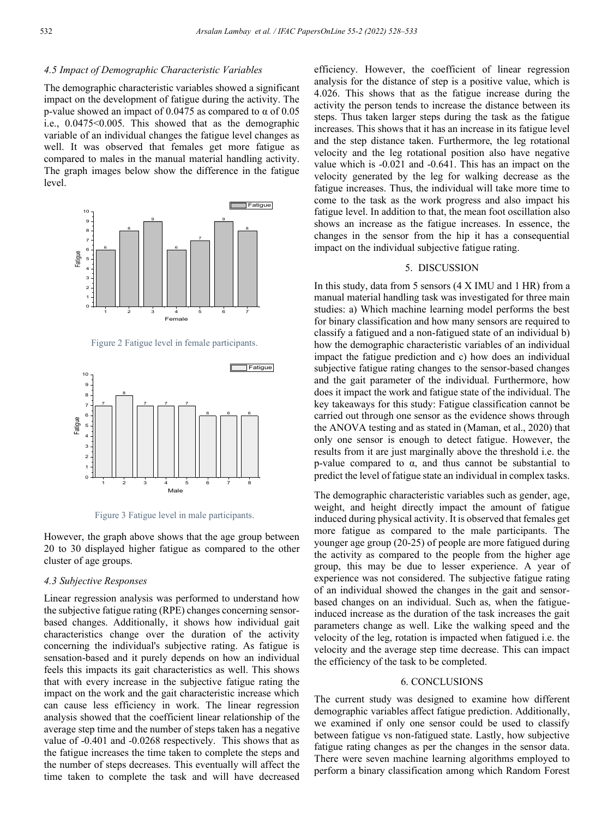### *4.5 Impact of Demographic Characteristic Variables*

The demographic characteristic variables showed a significant impact on the development of fatigue during the activity. The p-value showed an impact of 0.0475 as compared to  $\alpha$  of 0.05 i.e., 0.0475<0.005. This showed that as the demographic variable of an individual changes the fatigue level changes as well. It was observed that females get more fatigue as compared to males in the manual material handling activity. The graph images below show the difference in the fatigue level.



Figure 2 Fatigue level in female participants.



Figure 3 Fatigue level in male participants.

However, the graph above shows that the age group between 20 to 30 displayed higher fatigue as compared to the other cluster of age groups.

# *4.3 Subjective Responses*

Linear regression analysis was performed to understand how the subjective fatigue rating (RPE) changes concerning sensorbased changes. Additionally, it shows how individual gait characteristics change over the duration of the activity concerning the individual's subjective rating. As fatigue is sensation-based and it purely depends on how an individual feels this impacts its gait characteristics as well. This shows that with every increase in the subjective fatigue rating the impact on the work and the gait characteristic increase which can cause less efficiency in work. The linear regression analysis showed that the coefficient linear relationship of the average step time and the number of steps taken has a negative value of -0.401 and -0.0268 respectively. This shows that as the fatigue increases the time taken to complete the steps and the number of steps decreases. This eventually will affect the time taken to complete the task and will have decreased efficiency. However, the coefficient of linear regression analysis for the distance of step is a positive value, which is 4.026. This shows that as the fatigue increase during the activity the person tends to increase the distance between its steps. Thus taken larger steps during the task as the fatigue increases. This shows that it has an increase in its fatigue level and the step distance taken. Furthermore, the leg rotational velocity and the leg rotational position also have negative value which is -0.021 and -0.641. This has an impact on the velocity generated by the leg for walking decrease as the fatigue increases. Thus, the individual will take more time to come to the task as the work progress and also impact his fatigue level. In addition to that, the mean foot oscillation also shows an increase as the fatigue increases. In essence, the changes in the sensor from the hip it has a consequential impact on the individual subjective fatigue rating.

# 5. DISCUSSION

In this study, data from 5 sensors (4 X IMU and 1 HR) from a manual material handling task was investigated for three main studies: a) Which machine learning model performs the best for binary classification and how many sensors are required to classify a fatigued and a non-fatigued state of an individual b) how the demographic characteristic variables of an individual impact the fatigue prediction and c) how does an individual subjective fatigue rating changes to the sensor-based changes and the gait parameter of the individual. Furthermore, how does it impact the work and fatigue state of the individual. The key takeaways for this study: Fatigue classification cannot be carried out through one sensor as the evidence shows through the ANOVA testing and as stated in (Maman, et al., 2020) that only one sensor is enough to detect fatigue. However, the results from it are just marginally above the threshold i.e. the p-value compared to α, and thus cannot be substantial to predict the level of fatigue state an individual in complex tasks.

The demographic characteristic variables such as gender, age, weight, and height directly impact the amount of fatigue induced during physical activity. It is observed that females get more fatigue as compared to the male participants. The younger age group (20-25) of people are more fatigued during the activity as compared to the people from the higher age group, this may be due to lesser experience. A year of experience was not considered. The subjective fatigue rating of an individual showed the changes in the gait and sensorbased changes on an individual. Such as, when the fatigueinduced increase as the duration of the task increases the gait parameters change as well. Like the walking speed and the velocity of the leg, rotation is impacted when fatigued i.e. the velocity and the average step time decrease. This can impact the efficiency of the task to be completed.

#### 6. CONCLUSIONS

The current study was designed to examine how different demographic variables affect fatigue prediction. Additionally, we examined if only one sensor could be used to classify between fatigue vs non-fatigued state. Lastly, how subjective fatigue rating changes as per the changes in the sensor data. There were seven machine learning algorithms employed to perform a binary classification among which Random Forest